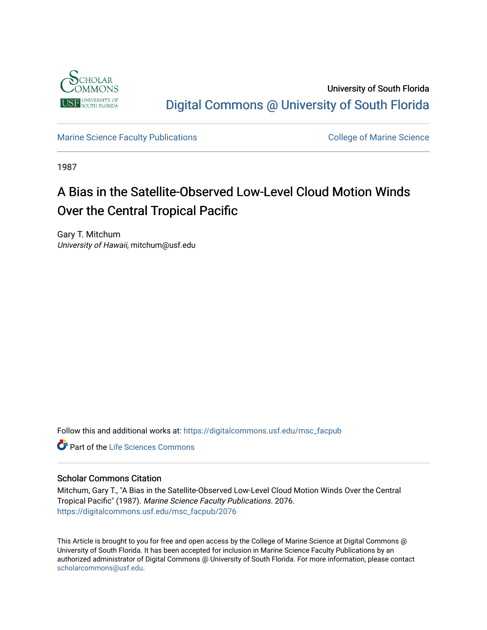

University of South Florida [Digital Commons @ University of South Florida](https://digitalcommons.usf.edu/) 

[Marine Science Faculty Publications](https://digitalcommons.usf.edu/msc_facpub) **College of Marine Science** College of Marine Science

1987

# A Bias in the Satellite-Observed Low-Level Cloud Motion Winds Over the Central Tropical Pacific

Gary T. Mitchum University of Hawaii, mitchum@usf.edu

Follow this and additional works at: [https://digitalcommons.usf.edu/msc\\_facpub](https://digitalcommons.usf.edu/msc_facpub?utm_source=digitalcommons.usf.edu%2Fmsc_facpub%2F2076&utm_medium=PDF&utm_campaign=PDFCoverPages) 

**C** Part of the Life Sciences Commons

## Scholar Commons Citation

Mitchum, Gary T., "A Bias in the Satellite-Observed Low-Level Cloud Motion Winds Over the Central Tropical Pacific" (1987). Marine Science Faculty Publications. 2076. [https://digitalcommons.usf.edu/msc\\_facpub/2076](https://digitalcommons.usf.edu/msc_facpub/2076?utm_source=digitalcommons.usf.edu%2Fmsc_facpub%2F2076&utm_medium=PDF&utm_campaign=PDFCoverPages) 

This Article is brought to you for free and open access by the College of Marine Science at Digital Commons @ University of South Florida. It has been accepted for inclusion in Marine Science Faculty Publications by an authorized administrator of Digital Commons @ University of South Florida. For more information, please contact [scholarcommons@usf.edu.](mailto:scholarcommons@usf.edu)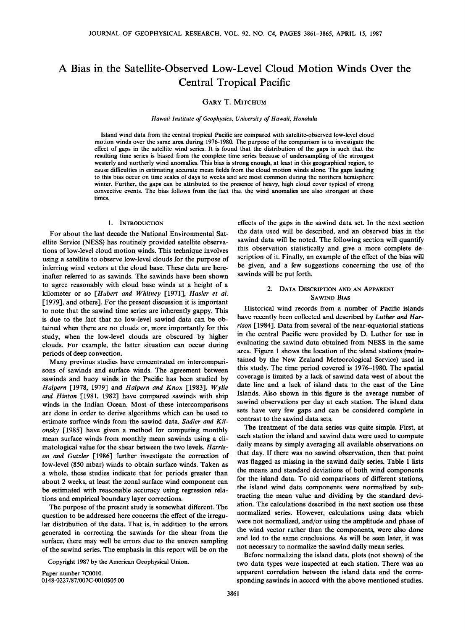# **A Bias in the Satellite-Observed Low-Level Cloud Motion Winds Over the Central Tropical Pacific**

### **GARY T. MITCHUM**

**Hawaii Institute of Geophysics, University of Hawaii, Honolulu** 

**Island wind data from the central tropical Pacific are compared with satellite-observed low-level cloud motion winds over the same area during 1976-1980. The purpose of the comparison is to investigate the effect of gaps in the satellite wind series. It is found that the distribution of the gaps is such that the resulting time series is biased from the complete time series because of undersampling of the strongest westerly and northerly wind anomalies. This bias is strong enough, at least in this geographical region, to cause difficulties in estimating accurate mean fields from the cloud motion winds alone. The gaps leading to this bias occur on time scales of days to weeks and are most common during the northern hemisphere winter. Further, the gaps can be attributed to the presence of heavy, high cloud cover typical of strong convective events. The bias follows from the fact that the wind anomalies are also strongest at these times.** 

#### **l. INTRODUCTION**

**For about the last decade the National Environmental Satellite Service (NESS) has routinely provided satellite observations of low-level cloud motion winds. This technique involves using a satellite to observe low-level clouds for the purpose of inferring wind vectors at the cloud base. These data are hereinafter referred to as sawinds. The sawinds have been shown to agree reasonably with cloud base winds at a height of a kilometer or so [Hubert and Whitney [1971], Hasler et al. [1979], and others]. For the present discussion it is important to note that the sawind time series are inherently gappy. This is due to the fact that no low-level sawind data can be obtained when there are no clouds or, more importantly for this**  study, when the low-level clouds are obscured by higher **clouds. For example, the latter situation can occur during periods of deep convection.** 

**Many previous studies have concentrated on intercomparisons of sawinds and surface winds. The agreement between sawinds and buoy winds in the Pacific has been studied by Halpern [1978, 1979] and Halpern and Knox [1983]. Wylie and Hinton [1981, 1982] have compared sawinds with ship winds in the Indian Ocean. Most of these intercomparisons are done in order to derive algorithms which can be used to**  estimate surface winds from the sawind data. Sadler and Kilonsky [1985] have given a method for computing monthly **mean surface winds from monthly mean sawinds using a climatological value for the shear between the two levels. Harrison and Gutzler [1986] further investigate the correction of low-level (850 mbar) winds to obtain surface winds. Taken as a whole, these studies indicate that for periods greater than about 2 weeks, at least the zonal surface wind component can be estimated with reasonable accuracy using regression relations and empirical boundary layer corrections.** 

**The purpose of the present study is somewhat different. The question to be addressed here concerns the effect of the irregular distribution of the data. That is, in addition to the errors generated in correcting the sawinds for the shear from the surface, there may well be errors due to the uneven sampling of the sawind series. The emphasis in this report will be on the** 

**Copyright 1987 by the American Geophysical Union.** 

**Paper number 7C0010. 0148-0227/87/007C-0010505.00** 

**effects of the gaps in the sawind data set. In the next section the data used will be described, and an observed bias in the sawind data will be noted. The following section will quantify this observation statistically and give a more complete description of it. Finally, an example of the effect of the bias will be given, and a few suggestions concerning the use of the sawinds will be put forth.** 

#### **2. DATA DESCRIPTION AND AN APPARENT SAWIND BIAS**

**Historical wind records from a number of Pacific islands have recently been collected and described by Luther and Harrison [1984]. Data from several of the near-equatorial stations in the central Pacific were provided by D. Luther for use in evaluating the sawind data obtained from NESS in the same area. Figure 1 shows the location of the island stations (maintained by the New Zealand Meteorological Service) used in this study. The time period covered is 1976-1980. The spatial coverage is limited by a lack of sawind data west of about the date line and a lack of island data to the east of the Line Islands. Also shown in this figure is the average number of sawind observations per day at each station. The island data sets have very few gaps and can be considered complete in contrast to the sawind data sets.** 

**The treatment of the data series was quite simple. First, at each station the island and sawind data were used to compute daily means by simply averaging all available observations on that day. If there was no sawind observation, then that point was flagged as missing in the sawind daily series. Table 1 lists the means and standard deviations of both wind components for the island data. To aid comparisons of different stations, the island wind data components were normalized by subtracting the mean value and dividing by the standard deviation. The calculations described in the next section use these normalized series. However, calculations using data which were not normalized, and/or using the amplitude and phase of the wind vector rather than the components, were also done and led to the same conclusions. As will be seen later, it was not necessary to normalize the sawind daily mean series.** 

**Before normalizing the island data, plots (not shown) of the two data types were inspected at each station. There was an apparent correlation between the island data and the corresponding sawinds in accord with the above mentioned studies.**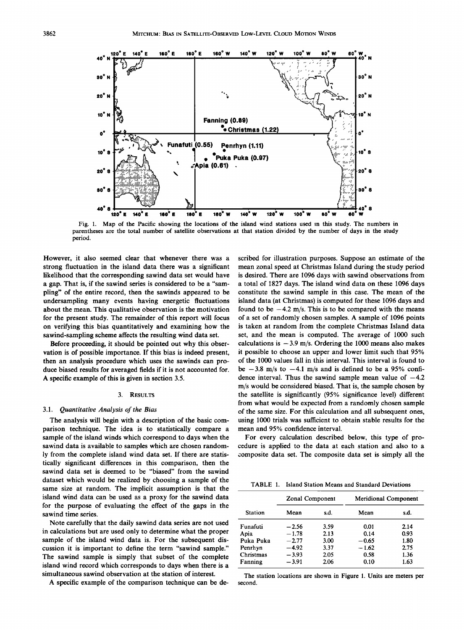

Fig. 1. Map of the Pacific showing the locations of the island wind stations used in this study. The numbers in **parentheses are the total number of satellite observations at that station divided by the number of days in the study period.** 

**However, it also seemed clear that whenever there was a strong fluctuation in the island data there was a significant likelihood that the corresponding sawind data set would have a gap. That is, if the sawind series is considered to be a "sampling" of the entire record, then the sawinds appeared to be undersampling many events having energetic fluctuations about the mean. This qualitative observation is the motivation for the present study. The remainder of this report will focus on verifying this bias quantitatively and examining how the sawind-sampling scheme affects the resulting wind data set.** 

**Before proceeding, it should be pointed out why this observation is of possible importance. If this bias is indeed present, then an analysis procedure which uses the sawinds can produce biased results for averaged fields if it is not accounted for. A specific example of this is given in section 3.5.** 

#### **3. RESULTS**

#### **3.1. Quantitative Analysis of the Bias**

**The analysis will begin with a description of the basic comparison technique. The idea is to statistically compare a sample of the island winds which correspond to days when the sawind data is available to samples which are chosen randomly from the complete island wind data set. If there are statistically significant differences in this comparison, then the sawind data set is deemed to be "biased" from the sawind dataset which would be realized by choosing a sample of the same size at random. The implicit assumption is that the island wind data can be used as a proxy for the sawind data for the purpose of evaluating the effect of the gaps in the sawind time series.** 

**Note carefully that the daily sawind data series are not used in calculations but are used only to determine what the proper sample of the island wind data is. For the subsequent discussion it is important to define the term "sawind sample." The sawind sample is simply that subset of the complete island wind record which corresponds to days when there is a simultaneous sawind observation at the station of interest.** 

**A specific example of the comparison technique can be de-**

**scribed for illustration purposes. Suppose an estimate of the mean zonal speed at Christmas Island during the study period is desired. There are 1096 days with sawind observations from a total of 1827 days. The island wind data on these 1096 days constitute the sawind sample in this case. The mean of the island data (at Christmas) is computed for these 1096 days and**  found to be  $-4.2$  m/s. This is to be compared with the means **of a set of randomly chosen samples. A sample of 1096 points is taken at random from the complete Christmas Island data set, and the mean is computed. The average of 1000 such**  calculations is  $-3.9$  m/s. Ordering the 1000 means also makes **it possible to choose an upper and lower limit such that 95% of the 1000 values fall in this interval. This interval is found to**  be  $-3.8$  m/s to  $-4.1$  m/s and is defined to be a 95% confidence interval. Thus the sawind sample mean value of  $-4.2$ **m/s would be considered biased. That is, the sample chosen by the satellite is significantly (95% significance level) different from what would be expected from a randomly chosen sample of the same size. For this calculation and all subsequent ones, using 1000 trials was sufficient to obtain stable results for the mean and 95% confidence interval.** 

**For every calculation described below, this type of procedure is applied to the data at each station and also to a composite data set. The composite data set is simply all the** 

**TABLE 1. Island Station Means and Standard Deviations** 

|                | <b>Zonal Component</b> |      | <b>Meridional Component</b> |      |
|----------------|------------------------|------|-----------------------------|------|
| <b>Station</b> | Mean                   | s.d. | Mean                        | s.d. |
| Funafuti       | $-2.56$                | 3.59 | 0.01                        | 2.14 |
| Apia           | $-1.78$                | 2.13 | 0.14                        | 0.93 |
| Puka Puka      | $-2.77$                | 3.00 | $-0.65$                     | 1.80 |
| Penrhyn        | $-4.92$                | 3.37 | $-1.62$                     | 2.75 |
| Christmas      | $-3.93$                | 2.05 | 0.58                        | 1.36 |
| Fanning        | $-3.91$                | 2.06 | 0.10                        | 1.63 |

**The station locations are shown in Figure 1. Units are meters per second.**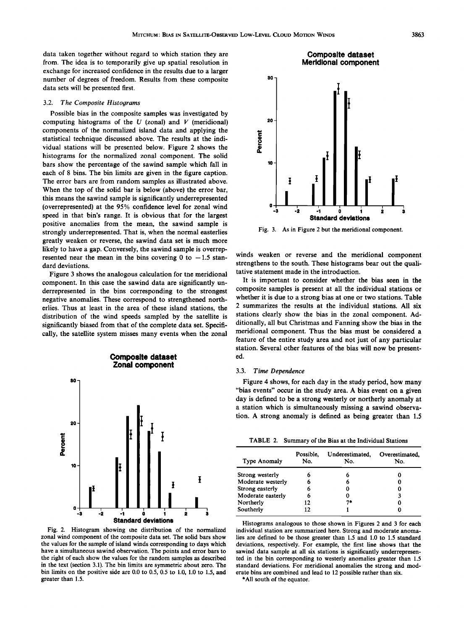**data taken together without regard to which station they are from. The idea is to temporarily give up spatial resolution in exchange for increased confidence in the results due to a larger number of degrees of freedom. Results from these composite data sets will be presented first.** 

#### **3.2. The Composite Histograms**

**Possible bias in the composite samples was investigated by computing histograms of the U (zonal) and V (meridional) components of the normalized island data and applying the statistical technique discussed above. The results at the individual stations will be presented below. Figure 2 shows the histograms for the normalized zonal component. The solid bars show the percentage of the sawind sample which fall in each of 8 bins. The bin limits are given in the figure caption. The error bars are from random samples as illustrated above. When the top of the solid bar is below (above) the error bar, this means the sawind sample is significantly underrepresented (overrepresented) at the 95% confidence level for zonal wind speed in that bin's range. It is obvious that for the largest positive anomalies from the mean, the sawind sample is strongly underrepresented. That is, when the normal easterlies greatly weaken or reverse, the sawind data set is much more likely to have a gap. Conversely, the sawind sample is overrep**resented near the mean in the bins covering  $0$  to  $-1.5$  stan**dard deviations.** 

**Figure 3 shows the analogous calculation for the meridional component. In this case the sawind data are significantly underrepresented in the bins corresponding to the strongest negative anomalies. These correspond to strengthened northerlies. Thus at least in the area of these island stations, the distribution of the wind speeds sampled by the satellite is significantly biased from that of the complete data set. Specifically, the satellite system misses many events when the zonal** 



**Fig. 2. Histogram showing the distribution of the normalized zonal wind component of the composite data set. The solid bars show the values for the sample of island winds corresponding to days which have a simultaneous sawind observation. The points and error bars to the right of each show the values for the random samples as described in the text (section 3.1). The bin limits are symmetric about zero. The bin limits on the positive side are 0.0 to 0.5, 0.5 to 1.0, 1.0 to 1.5, and greater than 1.5.** 



**Fig. 3. As in Figure 2 but the meridional component.** 

**-1 o 1 Standard deviations** 

**winds weaken or reverse and the meridional component strengthens to the south. These histograms bear out the qualitative statement made in the introduction.** 

**It is important to consider whether the bias seen in the composite samples is present at all the individual stations or whether it is due to a strong bias at one or two stations. Table 2 summarizes the results at the individual stations. All six stations clearly show the bias in the zonal component. Additionally, all but Christmas and Fanning show the bias in the meridional component. Thus the bias must be considered a feature of the entire study area and not just of any particular station. Several other features of the bias will now be presented.** 

#### **3.3. Time Dependence**

**Figure 4 shows, for each day in the study period, how many "bias events" occur in the study area. A bias event on a given day is defined to be a strong westerly or northerly anomaly at a station which is simultaneously missing a sawind observation. A strong anomaly is defined as being greater than 1.5** 

**TABLE 2. Summary of the Bias at the Individual Stations** 

| Type Anomaly      | Possible.<br>No. | Underestimated,<br>No. | Overestimated.<br>No. |
|-------------------|------------------|------------------------|-----------------------|
| Strong westerly   |                  |                        |                       |
| Moderate westerly |                  |                        |                       |
| Strong easterly   | n                |                        |                       |
| Moderate easterly | 6                |                        | 3                     |
| Northerly         | 12               | 7*                     |                       |
| Southerly         | 12               |                        |                       |

**Histograms analogous to those shown in Figures 2 and 3 for each individual station are summarized here. Strong and moderate anomalies are defined to be those greater than 1.5 and 1.0 to 1.5 standard deviations, respectively. For example, the first line shows that the sawind data sample at all six stations is significantly underrepresented in the bin corresponding to westerly anomalies greater than 1.5 standard deviations. For meridional anomalies the strong and moderate bins are combined and lead to 12 possible rather than six.** 

**\*All south of the equator.**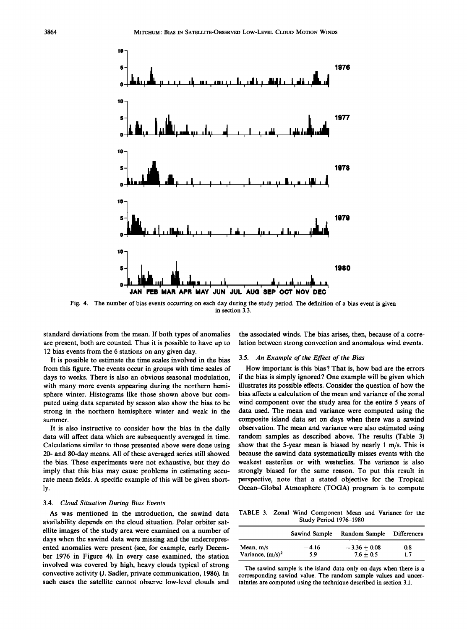

**Fig. 4. The number of bias events occurring on each day during the study period. The definition of a bias event is given in section 3.3.** 

**standard deviations from the mean. If both types of anomalies are present, both are counted. Thus it is possible to have up to 12 bias events from the 6 stations on any given day.** 

**It is possible to estimate the time scales involved in the bias from this figure. The events occur in groups with time scales of days to weeks. There is also an obvious seasonal modulation, with many more events appearing during the northern hemisphere winter. Histograms like those shown above but computed using data separated by season also show the bias to be strong in the northern hemisphere winter and weak in the summer.** 

**It is also instructive to consider how the bias in the daily data will affect data which are subsequently averaged in time. Calculations similar to those presented above were done using 20- and 80-day means. All of these averaged series still showed the bias. These experiments were not exhaustive, but they do imply that this bias may cause problems in estimating accurate mean fields. A specific example of this will be given shortly.** 

#### **3.4. Cloud Situation During Bias Events**

**As was mentioned in the introduction, the sawind data**  availability depends on the cloud situation. Polar orbiter sat**ellite images of the study area were examined on a number of days when the sawind data were missing and the underrepresented anomalies were present (see, for example, early December 1976 in Figure 4). In every case examined, the station involved was covered by high, heavy clouds typical of strong convective activity (J. Sadler, private communication, 1986). In such cases the satellite cannot observe low-level clouds and** 

**the associated winds. The bias arises, then, because of a correlation between strong convection and anomalous wind events.** 

#### **3.5. An Example of the Effect of the Bias**

**How important is this bias ? That is, how bad are the errors if the bias is simply ignored ? One example will be given which illustrates its possible effects. Consider the question of how the bias affects a calculation of the mean and variance of the zonal wind component over the study area for the entire 5 years of data used. The mean and variance were computed using the composite island data set on days when there was a sawind observation. The mean and variance were also estimated using random samples as described above. The results (Table 3) show that the 5-year mean is biased by nearly 1 m/s. This is because the sawind data systematically misses events with the weakest easterlies or with westerlies. The variance is also strongly biased for the same reason. To put this result in perspective, note that a stated objective for the Tropical Ocean-Global Atmosphere (TOGA) program is to compute** 

**TABLE 3. Zonal Wind Component Mean and Variance for the Study Period 1976-1980** 

|                     | Sawind Sample | Random Sample  | <b>Differences</b> |
|---------------------|---------------|----------------|--------------------|
| Mean, $m/s$         | $-4.16$       | $-3.36 + 0.08$ | 0.8                |
| Variance, $(m/s)^2$ | 5.9           | $7.6 + 0.5$    | 1.7                |

**The sawind sample is the island data only on days when there is a corresponding sawind value. The random sample values and uncer**tainties are computed using the technique described in section 3.1.